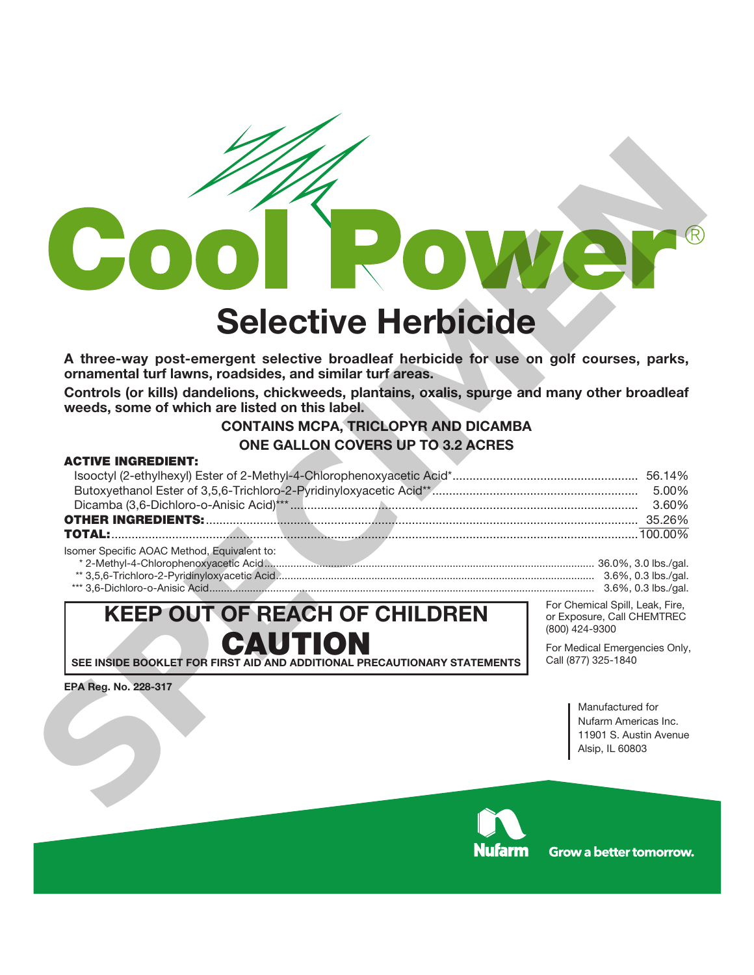

# **Selective Herbicide**

**A three-way post-emergent selective broadleaf herbicide for use on golf courses, parks, ornamental turf lawns, roadsides, and similar turf areas.**

**Controls (or kills) dandelions, chickweeds, plantains, oxalis, spurge and many other broadleaf weeds, some of which are listed on this label.**

# **CONTAINS MCPA, TRICLOPYR AND DICAMBA ONE GALLON COVERS UP TO 3.2 ACRES**

## **ACTIVE INGREDIENT:**

|                                             | 5.00% |
|---------------------------------------------|-------|
|                                             | 3 60% |
|                                             |       |
|                                             |       |
| Isomer Specific AOAC Method, Equivalent to: |       |

| * 2-Methvl-4-Chlorophenoxvacetic Acid         | 36.0%.<br>$3.0$ lbs./qal.          |
|-----------------------------------------------|------------------------------------|
| ** 3.5.6-Trichloro-2-Pyridinvloxyacetic Acid. | 3.6%. 0.3 lbs./ɑal.                |
| 3 6-Dichloro-o-Anisic Acid<br>$***$ $-$       | ).3 lbs./ɑal.<br>3 6% <sup>-</sup> |

# **KEEP OUT OF REACH OF CHILDREN CAUTION**

**SEE INSIDE BOOKLET FOR FIRST AID AND ADDITIONAL PRECAUTIONARY STATEMENTS**

**EPA Reg. No. 228-317** 

For Chemical Spill, Leak, Fire, or Exposure, Call CHEMTREC (800) 424-9300

For Medical Emergencies Only, Call (877) 325-1840

> Manufactured for Nufarm Americas Inc. 11901 S. Austin Avenue Alsip, IL 60803



**Grow a better tomorrow.**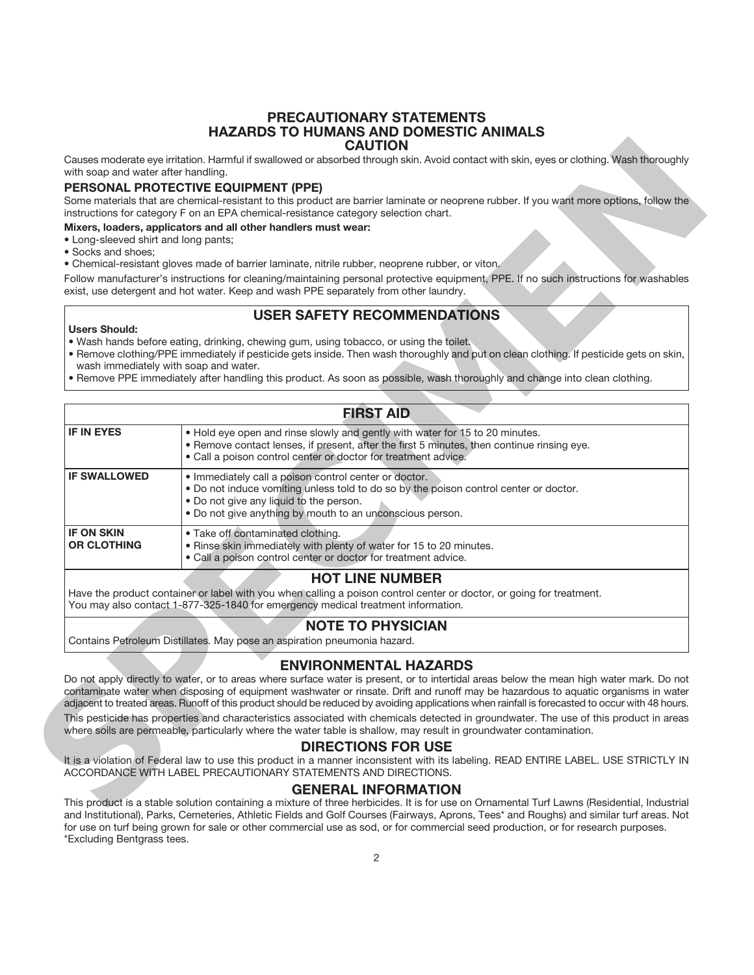#### **PRECAUTIONARY STATEMENTS HAZARDS TO HUMANS AND DOMESTIC ANIMALS CAUTION**

#### **PERSONAL PROTECTIVE EQUIPMENT (PPE)**

#### **Mixers, loaders, applicators and all other handlers must wear:**

- Long-sleeved shirt and long pants;
- Socks and shoes;

# **USER SAFETY RECOMMENDATIONS**

#### **Users Should:**

- Wash hands before eating, drinking, chewing gum, using tobacco, or using the toilet.
- Remove clothing/PPE immediately if pesticide gets inside. Then wash thoroughly and put on clean clothing. If pesticide gets on skin, wash immediately with soap and water.
- Remove PPE immediately after handling this product. As soon as possible, wash thoroughly and change into clean clothing.

|                                      | Causes moderate eye irritation. Harmful if swallowed or absorbed through skin. Avoid contact with skin, eyes or clothing. Wash thoroughly                                                                                                                                        |
|--------------------------------------|----------------------------------------------------------------------------------------------------------------------------------------------------------------------------------------------------------------------------------------------------------------------------------|
| with soap and water after handling.  |                                                                                                                                                                                                                                                                                  |
|                                      | <b>PERSONAL PROTECTIVE EQUIPMENT (PPE)</b>                                                                                                                                                                                                                                       |
|                                      | Some materials that are chemical-resistant to this product are barrier laminate or neoprene rubber. If you want more options, follow the<br>instructions for category F on an EPA chemical-resistance category selection chart.                                                  |
|                                      | Mixers, loaders, applicators and all other handlers must wear:                                                                                                                                                                                                                   |
| • Long-sleeved shirt and long pants; |                                                                                                                                                                                                                                                                                  |
| · Socks and shoes;                   | • Chemical-resistant gloves made of barrier laminate, nitrile rubber, neoprene rubber, or viton.                                                                                                                                                                                 |
|                                      | Follow manufacturer's instructions for cleaning/maintaining personal protective equipment, PPE. If no such instructions for washables                                                                                                                                            |
|                                      | exist, use detergent and hot water. Keep and wash PPE separately from other laundry.                                                                                                                                                                                             |
|                                      | <b>USER SAFETY RECOMMENDATIONS</b>                                                                                                                                                                                                                                               |
| <b>Users Should:</b>                 |                                                                                                                                                                                                                                                                                  |
|                                      | . Wash hands before eating, drinking, chewing gum, using tobacco, or using the toilet.<br>. Remove clothing/PPE immediately if pesticide gets inside. Then wash thoroughly and put on clean clothing. If pesticide gets on skin,                                                 |
|                                      | wash immediately with soap and water.                                                                                                                                                                                                                                            |
|                                      | . Remove PPE immediately after handling this product. As soon as possible, wash thoroughly and change into clean clothing.                                                                                                                                                       |
|                                      |                                                                                                                                                                                                                                                                                  |
|                                      | <b>FIRST AID</b>                                                                                                                                                                                                                                                                 |
| <b>IF IN EYES</b>                    | . Hold eye open and rinse slowly and gently with water for 15 to 20 minutes.                                                                                                                                                                                                     |
|                                      | . Remove contact lenses, if present, after the first 5 minutes, then continue rinsing eye.<br>· Call a poison control center or doctor for treatment advice.                                                                                                                     |
| <b>IF SWALLOWED</b>                  | · Immediately call a poison control center or doctor.                                                                                                                                                                                                                            |
|                                      | . Do not induce vomiting unless told to do so by the poison control center or doctor.<br>. Do not give any liquid to the person.                                                                                                                                                 |
|                                      | . Do not give anything by mouth to an unconscious person.                                                                                                                                                                                                                        |
| <b>IF ON SKIN</b>                    | • Take off contaminated clothing.                                                                                                                                                                                                                                                |
| <b>OR CLOTHING</b>                   | . Rinse skin immediately with plenty of water for 15 to 20 minutes.                                                                                                                                                                                                              |
|                                      | · Call a poison control center or doctor for treatment advice.                                                                                                                                                                                                                   |
|                                      | <b>HOT LINE NUMBER</b>                                                                                                                                                                                                                                                           |
|                                      | Have the product container or label with you when calling a poison control center or doctor, or going for treatment.<br>You may also contact 1-877-325-1840 for emergency medical treatment information.                                                                         |
|                                      | <b>NOTE TO PHYSICIAN</b>                                                                                                                                                                                                                                                         |
|                                      | Contains Petroleum Distillates. May pose an aspiration pneumonia hazard.                                                                                                                                                                                                         |
|                                      | <b>ENVIRONMENTAL HAZARDS</b>                                                                                                                                                                                                                                                     |
|                                      | Do not apply directly to water, or to areas where surface water is present, or to intertidal areas below the mean high water mark. Do not<br>contaminate water when disposing of equipment washwater or rinsate. Drift and runoff may be hazardous to aquatic organisms in water |
|                                      | adjacent to treated areas. Runoff of this product should be reduced by avoiding applications when rainfall is forecasted to occur with 48 hours.                                                                                                                                 |
|                                      | This pesticide has properties and characteristics associated with chemicals detected in groundwater. The use of this product in areas                                                                                                                                            |
|                                      | where soils are permeable, particularly where the water table is shallow, may result in groundwater contamination.                                                                                                                                                               |
|                                      | <b>DIRECTIONS FOR USE</b><br>It is a violation of Federal law to use this product in a manner inconsistent with its labeling. READ ENTIRE LABEL. USE STRICTLY IN                                                                                                                 |
|                                      | ACCORDANCE WITH LABEL PRECAUTIONARY STATEMENTS AND DIRECTIONS.                                                                                                                                                                                                                   |
|                                      |                                                                                                                                                                                                                                                                                  |
|                                      | <b>GENERAL INFORMATION</b>                                                                                                                                                                                                                                                       |

#### **NOTE TO PHYSICIAN**

#### **ENVIRONMENTAL HAZARDS**

#### **DIRECTIONS FOR USE**

#### **GENERAL INFORMATION**

This product is a stable solution containing a mixture of three herbicides. It is for use on Ornamental Turf Lawns (Residential, Industrial and Institutional), Parks, Cemeteries, Athletic Fields and Golf Courses (Fairways, Aprons, Tees\* and Roughs) and similar turf areas. Not for use on turf being grown for sale or other commercial use as sod, or for commercial seed production, or for research purposes. \*Excluding Bentgrass tees.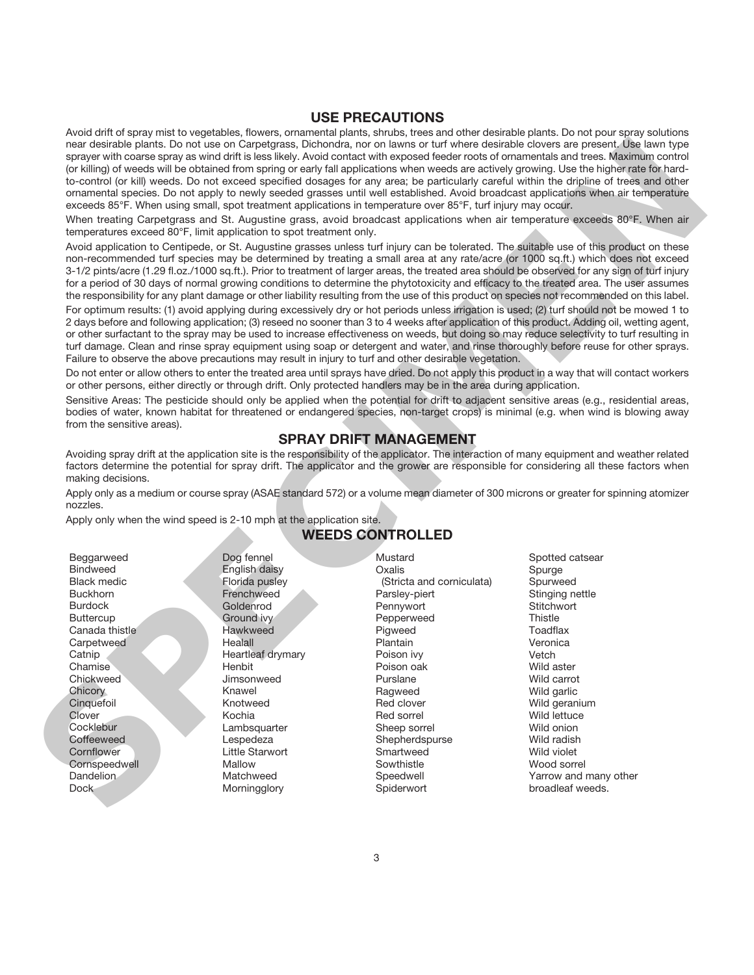### **USE PRECAUTIONS**

Avoid drift of spray mist to vegetables, flowers, ornamental plants, shrubs, trees and other desirable plants. Do not pour spray solutions near desirable plants. Do not use on Carpetgrass, Dichondra, nor on lawns or turf where desirable clovers are present. Use lawn type sprayer with coarse spray as wind drift is less likely. Avoid contact with exposed feeder roots of ornamentals and trees. Maximum control (or killing) of weeds will be obtained from spring or early fall applications when weeds are actively growing. Use the higher rate for hardto-control (or kill) weeds. Do not exceed specified dosages for any area; be particularly careful within the dripline of trees and other ornamental species. Do not apply to newly seeded grasses until well established. Avoid broadcast applications when air temperature exceeds 85°F. When using small, spot treatment applications in temperature over 85°F, turf injury may occur. to the species at a set of the initiality. And contrained the dependent on the species of the species at a set of the species at a set of the species at a set of the species at a set of the species at a set of the species

When treating Carpetgrass and St. Augustine grass, avoid broadcast applications when air temperature exceeds 80°F. When air temperatures exceed 80°F, limit application to spot treatment only.

Avoid application to Centipede, or St. Augustine grasses unless turf injury can be tolerated. The suitable use of this product on these non-recommended turf species may be determined by treating a small area at any rate/acre (or 1000 sq.ft.) which does not exceed 3-1/2 pints/acre (1.29 fl.oz./1000 sq.ft.). Prior to treatment of larger areas, the treated area should be observed for any sign of turf injury for a period of 30 days of normal growing conditions to determine the phytotoxicity and efficacy to the treated area. The user assumes the responsibility for any plant damage or other liability resulting from the use of this product on species not recommended on this label.

For optimum results: (1) avoid applying during excessively dry or hot periods unless irrigation is used; (2) turf should not be mowed 1 to 2 days before and following application; (3) reseed no sooner than 3 to 4 weeks after application of this product. Adding oil, wetting agent, or other surfactant to the spray may be used to increase effectiveness on weeds, but doing so may reduce selectivity to turf resulting in turf damage. Clean and rinse spray equipment using soap or detergent and water, and rinse thoroughly before reuse for other sprays. Failure to observe the above precautions may result in injury to turf and other desirable vegetation.

Do not enter or allow others to enter the treated area until sprays have dried. Do not apply this product in a way that will contact workers or other persons, either directly or through drift. Only protected handlers may be in the area during application.

Sensitive Areas: The pesticide should only be applied when the potential for drift to adjacent sensitive areas (e.g., residential areas, bodies of water, known habitat for threatened or endangered species, non-target crops) is minimal (e.g. when wind is blowing away from the sensitive areas).

# **SPRAY DRIFT MANAGEMENT**

Avoiding spray drift at the application site is the responsibility of the applicator. The interaction of many equipment and weather related factors determine the potential for spray drift. The applicator and the grower are responsible for considering all these factors when making decisions.

Apply only as a medium or course spray (ASAE standard 572) or a volume mean diameter of 300 microns or greater for spinning atomizer nozzles.

Apply only when the wind speed is 2-10 mph at the application site.

Beggarweed Bindweed Black medic Buckhorn Burdock **Buttercup** Canada thistle **Carpetweed Catnip** Chamise **Chickweed Chicory Cinquefoil** Clover **Cocklebur Coffeeweed Cornflower Cornspeedwell** Dandelion Dock

Dog fennel English daisy Florida pusley Frenchweed Goldenrod Ground ivy Hawkweed **Healall** Heartleaf drymary Henbit Jimsonweed Knawel Knotweed Kochia **Lambsquarter** Lespedeza

Little Starwort Mallow Matchweed **Morningglory** 

# **WEEDS CONTROLLED**

Mustard **Oxalis** 

Plantain

(Stricta and corniculata) Parsley-piert Pennywort Pepperweed Pigweed Poison ivy Poison oak Purslane Ragweed Red clover Red sorrel Sheep sorrel Shepherdspurse **Smartweed** Sowthistle Speedwell Spiderwort Spotted catsear Spurge Spurweed Stinging nettle **Stitchwort Thistle Toadflax** Veronica Vetch Wild aster Wild carrot Wild garlic Wild geranium Wild lettuce Wild onion Wild radish Wild violet Wood sorrel Yarrow and many other broadleaf weeds.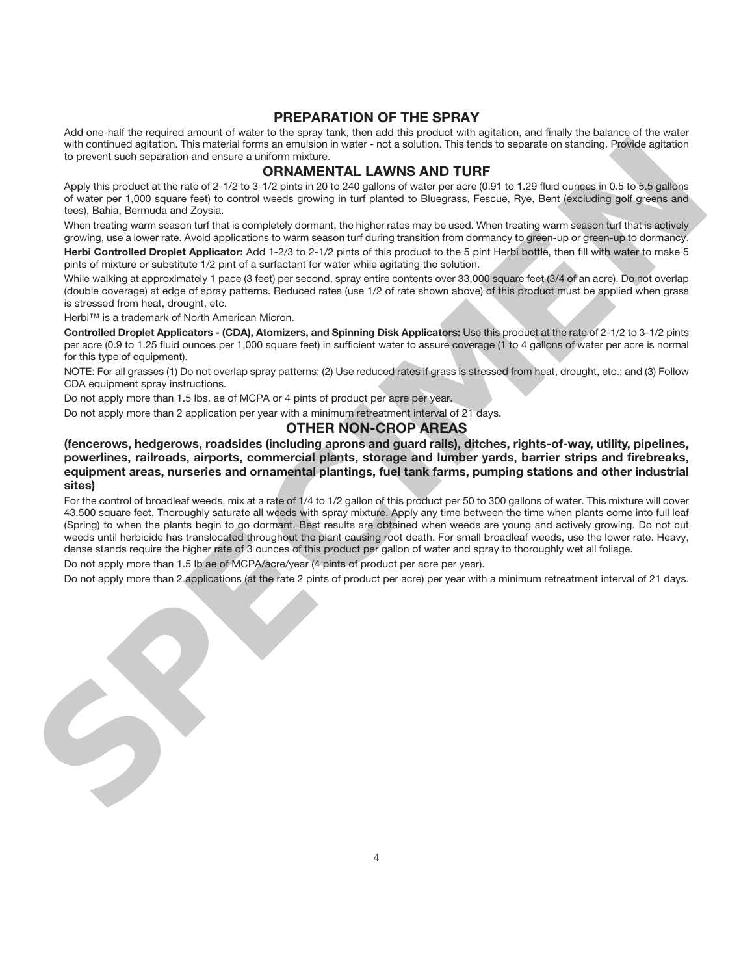#### **PREPARATION OF THE SPRAY**

Add one-half the required amount of water to the spray tank, then add this product with agitation, and finally the balance of the water with continued agitation. This material forms an emulsion in water - not a solution. This tends to separate on standing. Provide agitation to prevent such separation and ensure a uniform mixture.

# **ORNAMENTAL LAWNS AND TURF**

Apply this product at the rate of 2-1/2 to 3-1/2 pints in 20 to 240 gallons of water per acre (0.91 to 1.29 fluid ounces in 0.5 to 5.5 gallons of water per 1,000 square feet) to control weeds growing in turf planted to Bluegrass, Fescue, Rye, Bent (excluding golf greens and tees), Bahia, Bermuda and Zoysia.

When treating warm season turf that is completely dormant, the higher rates may be used. When treating warm season turf that is actively growing, use a lower rate. Avoid applications to warm season turf during transition from dormancy to green-up or green-up to dormancy.

**Herbi Controlled Droplet Applicator:** Add 1-2/3 to 2-1/2 pints of this product to the 5 pint Herbi bottle, then fill with water to make 5 pints of mixture or substitute 1/2 pint of a surfactant for water while agitating the solution.

While walking at approximately 1 pace (3 feet) per second, spray entire contents over 33,000 square feet (3/4 of an acre). Do not overlap (double coverage) at edge of spray patterns. Reduced rates (use 1/2 of rate shown above) of this product must be applied when grass is stressed from heat, drought, etc.

Herbi™ is a trademark of North American Micron.

**Controlled Droplet Applicators - (CDA), Atomizers, and Spinning Disk Applicators:** Use this product at the rate of 2-1/2 to 3-1/2 pints per acre (0.9 to 1.25 fluid ounces per 1,000 square feet) in sufficient water to assure coverage (1 to 4 gallons of water per acre is normal for this type of equipment).

NOTE: For all grasses (1) Do not overlap spray patterns; (2) Use reduced rates if grass is stressed from heat, drought, etc.; and (3) Follow CDA equipment spray instructions.

Do not apply more than 1.5 lbs. ae of MCPA or 4 pints of product per acre per year.

Do not apply more than 2 application per year with a minimum retreatment interval of 21 days.

## **OTHER NON-CROP AREAS**

**(fencerows, hedgerows, roadsides (including aprons and guard rails), ditches, rights-of-way, utility, pipelines, powerlines, railroads, airports, commercial plants, storage and lumber yards, barrier strips and firebreaks, equipment areas, nurseries and ornamental plantings, fuel tank farms, pumping stations and other industrial sites)**

For the control of broadleaf weeds, mix at a rate of 1/4 to 1/2 gallon of this product per 50 to 300 gallons of water. This mixture will cover 43,500 square feet. Thoroughly saturate all weeds with spray mixture. Apply any time between the time when plants come into full leaf (Spring) to when the plants begin to go dormant. Best results are obtained when weeds are young and actively growing. Do not cut weeds until herbicide has translocated throughout the plant causing root death. For small broadleaf weeds, use the lower rate. Heavy, dense stands require the higher rate of 3 ounces of this product per gallon of water and spray to thoroughly wet all foliage. to provide such documents and of the three methods are also the state of the 150 tid methods and the relationship in the state of the state of the state of the state of the state of the state of the state of the state of t

Do not apply more than 1.5 lb ae of MCPA/acre/year (4 pints of product per acre per year).

Do not apply more than 2 applications (at the rate 2 pints of product per acre) per year with a minimum retreatment interval of 21 days.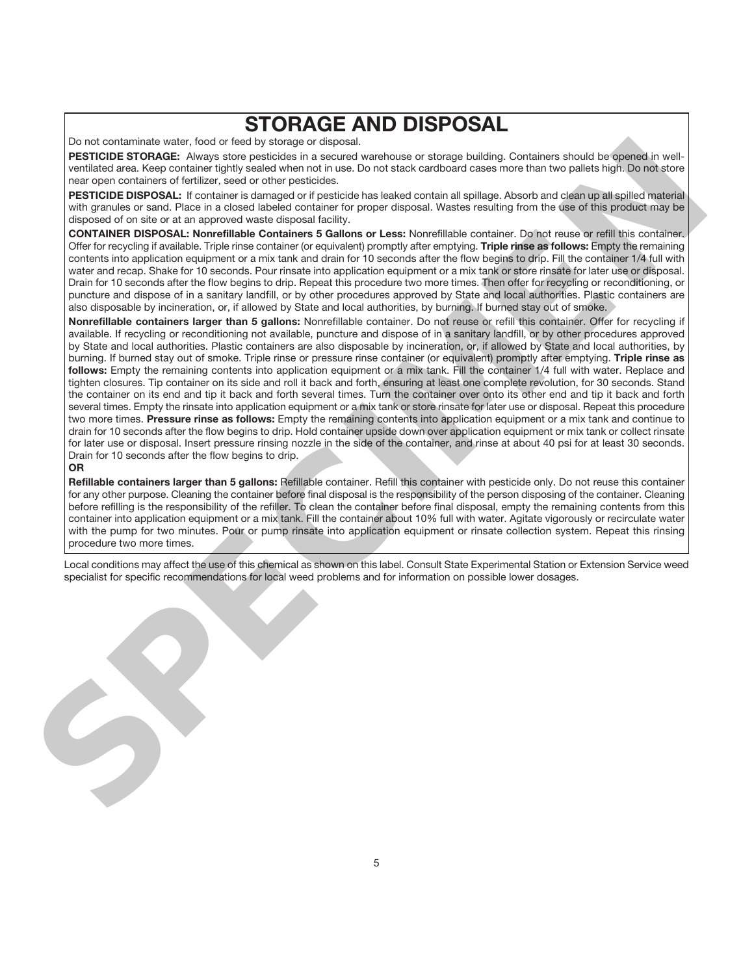# **STORAGE AND DISPOSAL**

Do not contaminate water, food or feed by storage or disposal.

**PESTICIDE STORAGE:** Always store pesticides in a secured warehouse or storage building. Containers should be opened in wellventilated area. Keep container tightly sealed when not in use. Do not stack cardboard cases more than two pallets high. Do not store near open containers of fertilizer, seed or other pesticides.

**PESTICIDE DISPOSAL:** If container is damaged or if pesticide has leaked contain all spillage. Absorb and clean up all spilled material with granules or sand. Place in a closed labeled container for proper disposal. Wastes resulting from the use of this product may be disposed of on site or at an approved waste disposal facility.

**CONTAINER DISPOSAL: Nonrefillable Containers 5 Gallons or Less:** Nonrefillable container. Do not reuse or refill this container. Offer for recycling if available. Triple rinse container (or equivalent) promptly after emptying. **Triple rinse as follows:** Empty the remaining contents into application equipment or a mix tank and drain for 10 seconds after the flow begins to drip. Fill the container 1/4 full with water and recap. Shake for 10 seconds. Pour rinsate into application equipment or a mix tank or store rinsate for later use or disposal. Drain for 10 seconds after the flow begins to drip. Repeat this procedure two more times. Then offer for recycling or reconditioning, or puncture and dispose of in a sanitary landfill, or by other procedures approved by State and local authorities. Plastic containers are also disposable by incineration, or, if allowed by State and local authorities, by burning. If burned stay out of smoke.

**Nonrefillable containers larger than 5 gallons:** Nonrefillable container. Do not reuse or refill this container. Offer for recycling if available. If recycling or reconditioning not available, puncture and dispose of in a sanitary landfill, or by other procedures approved by State and local authorities. Plastic containers are also disposable by incineration, or, if allowed by State and local authorities, by burning. If burned stay out of smoke. Triple rinse or pressure rinse container (or equivalent) promptly after emptying. **Triple rinse as follows:** Empty the remaining contents into application equipment or a mix tank. Fill the container 1/4 full with water. Replace and tighten closures. Tip container on its side and roll it back and forth, ensuring at least one complete revolution, for 30 seconds. Stand the container on its end and tip it back and forth several times. Turn the container over onto its other end and tip it back and forth several times. Empty the rinsate into application equipment or a mix tank or store rinsate for later use or disposal. Repeat this procedure two more times. **Pressure rinse as follows:** Empty the remaining contents into application equipment or a mix tank and continue to drain for 10 seconds after the flow begins to drip. Hold container upside down over application equipment or mix tank or collect rinsate for later use or disposal. Insert pressure rinsing nozzle in the side of the container, and rinse at about 40 psi for at least 30 seconds. Drain for 10 seconds after the flow begins to drip. PERIDIDE SYONGAE. Aways data di series pain di america series dan di america series dan di america da melal tengenti america da melal tengenti america da melal tengenti america da melal tengenti america da melal tengenti a

#### **OR**

**Refillable containers larger than 5 gallons:** Refillable container. Refill this container with pesticide only. Do not reuse this container for any other purpose. Cleaning the container before final disposal is the responsibility of the person disposing of the container. Cleaning before refilling is the responsibility of the refiller. To clean the container before final disposal, empty the remaining contents from this container into application equipment or a mix tank. Fill the container about 10% full with water. Agitate vigorously or recirculate water with the pump for two minutes. Pour or pump rinsate into application equipment or rinsate collection system. Repeat this rinsing procedure two more times.

Local conditions may affect the use of this chemical as shown on this label. Consult State Experimental Station or Extension Service weed specialist for specific recommendations for local weed problems and for information on possible lower dosages.